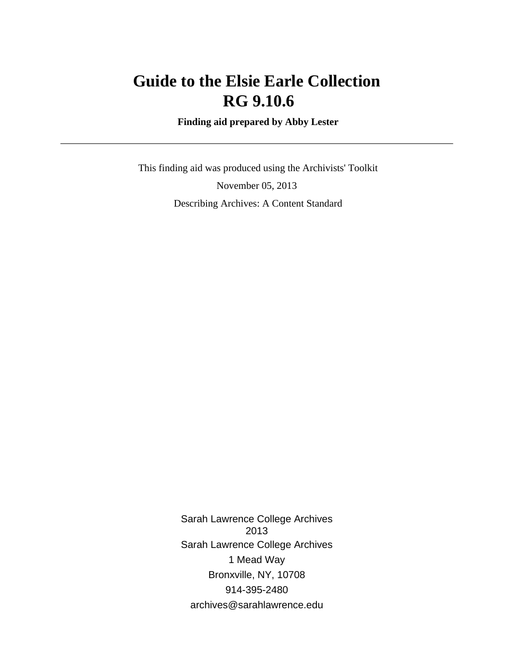# **Guide to the Elsie Earle Collection RG 9.10.6**

 **Finding aid prepared by Abby Lester**

 This finding aid was produced using the Archivists' Toolkit November 05, 2013 Describing Archives: A Content Standard

> Sarah Lawrence College Archives 2013 Sarah Lawrence College Archives 1 Mead Way Bronxville, NY, 10708 914-395-2480 archives@sarahlawrence.edu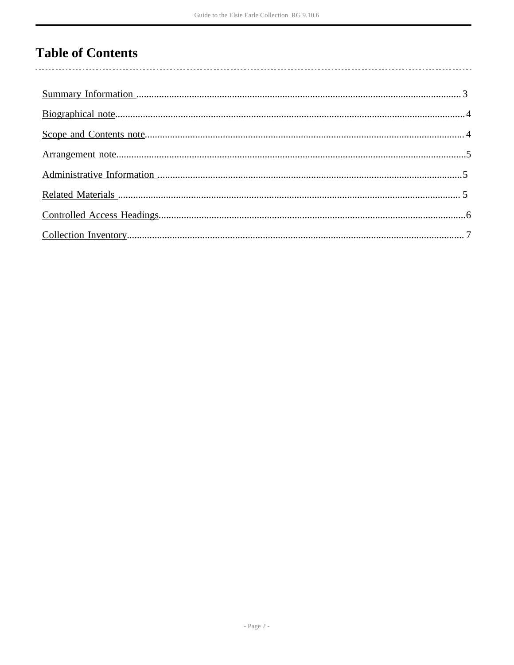## **Table of Contents**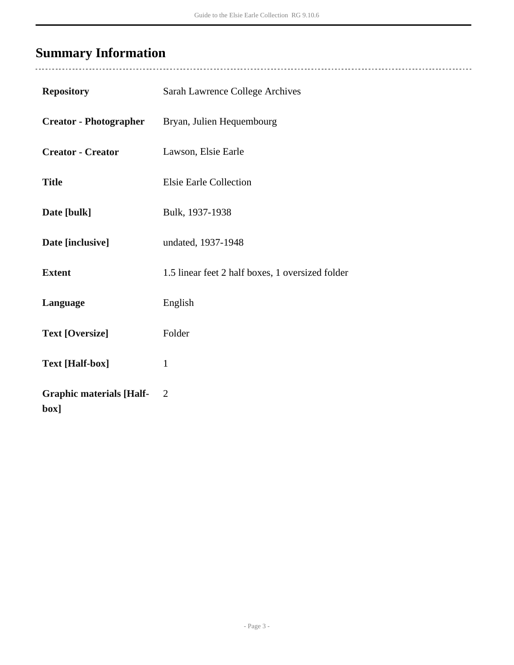# <span id="page-2-0"></span>**Summary Information**

| <b>Repository</b>                       | Sarah Lawrence College Archives                  |
|-----------------------------------------|--------------------------------------------------|
| <b>Creator - Photographer</b>           | Bryan, Julien Hequembourg                        |
| <b>Creator - Creator</b>                | Lawson, Elsie Earle                              |
| <b>Title</b>                            | Elsie Earle Collection                           |
| Date [bulk]                             | Bulk, 1937-1938                                  |
| Date [inclusive]                        | undated, 1937-1948                               |
| <b>Extent</b>                           | 1.5 linear feet 2 half boxes, 1 oversized folder |
| Language                                | English                                          |
| <b>Text [Oversize]</b>                  | Folder                                           |
| <b>Text [Half-box]</b>                  | $\mathbf{1}$                                     |
| <b>Graphic materials [Half-</b><br>box] | $\overline{2}$                                   |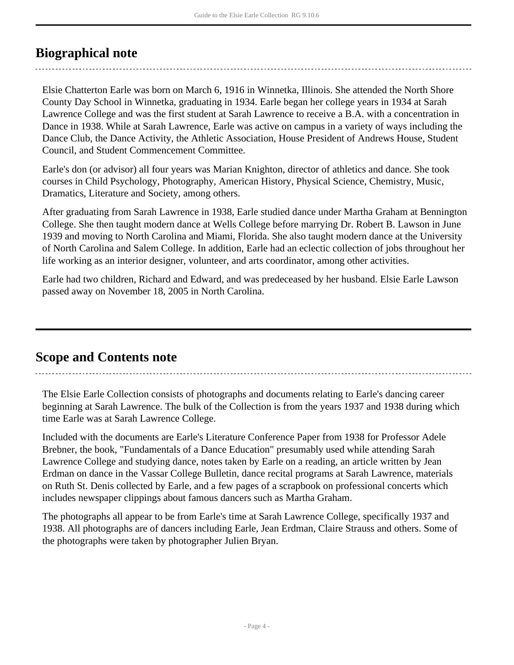### <span id="page-3-0"></span>**Biographical note**

Elsie Chatterton Earle was born on March 6, 1916 in Winnetka, Illinois. She attended the North Shore County Day School in Winnetka, graduating in 1934. Earle began her college years in 1934 at Sarah Lawrence College and was the first student at Sarah Lawrence to receive a B.A. with a concentration in Dance in 1938. While at Sarah Lawrence, Earle was active on campus in a variety of ways including the Dance Club, the Dance Activity, the Athletic Association, House President of Andrews House, Student Council, and Student Commencement Committee.

Earle's don (or advisor) all four years was Marian Knighton, director of athletics and dance. She took courses in Child Psychology, Photography, American History, Physical Science, Chemistry, Music, Dramatics, Literature and Society, among others.

After graduating from Sarah Lawrence in 1938, Earle studied dance under Martha Graham at Bennington College. She then taught modern dance at Wells College before marrying Dr. Robert B. Lawson in June 1939 and moving to North Carolina and Miami, Florida. She also taught modern dance at the University of North Carolina and Salem College. In addition, Earle had an eclectic collection of jobs throughout her life working as an interior designer, volunteer, and arts coordinator, among other activities.

Earle had two children, Richard and Edward, and was predeceased by her husband. Elsie Earle Lawson passed away on November 18, 2005 in North Carolina.

### <span id="page-3-1"></span>**Scope and Contents note**

The Elsie Earle Collection consists of photographs and documents relating to Earle's dancing career beginning at Sarah Lawrence. The bulk of the Collection is from the years 1937 and 1938 during which time Earle was at Sarah Lawrence College.

Included with the documents are Earle's Literature Conference Paper from 1938 for Professor Adele Brebner, the book, "Fundamentals of a Dance Education" presumably used while attending Sarah Lawrence College and studying dance, notes taken by Earle on a reading, an article written by Jean Erdman on dance in the Vassar College Bulletin, dance recital programs at Sarah Lawrence, materials on Ruth St. Denis collected by Earle, and a few pages of a scrapbook on professional concerts which includes newspaper clippings about famous dancers such as Martha Graham.

The photographs all appear to be from Earle's time at Sarah Lawrence College, specifically 1937 and 1938. All photographs are of dancers including Earle, Jean Erdman, Claire Strauss and others. Some of the photographs were taken by photographer Julien Bryan.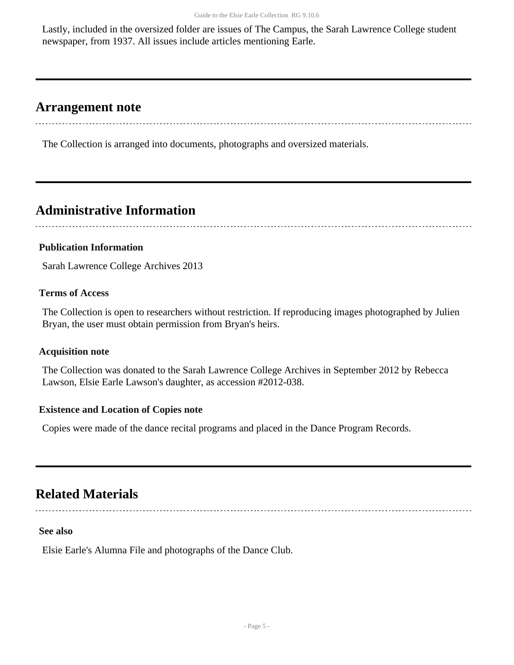Lastly, included in the oversized folder are issues of The Campus, the Sarah Lawrence College student newspaper, from 1937. All issues include articles mentioning Earle.

### <span id="page-4-0"></span>**Arrangement note**

The Collection is arranged into documents, photographs and oversized materials.

### <span id="page-4-1"></span>**Administrative Information**

#### **Publication Information**

Sarah Lawrence College Archives 2013

#### **Terms of Access**

The Collection is open to researchers without restriction. If reproducing images photographed by Julien Bryan, the user must obtain permission from Bryan's heirs.

#### **Acquisition note**

The Collection was donated to the Sarah Lawrence College Archives in September 2012 by Rebecca Lawson, Elsie Earle Lawson's daughter, as accession #2012-038.

#### **Existence and Location of Copies note**

Copies were made of the dance recital programs and placed in the Dance Program Records.

### <span id="page-4-2"></span>**Related Materials**

#### **See also**

Elsie Earle's Alumna File and photographs of the Dance Club.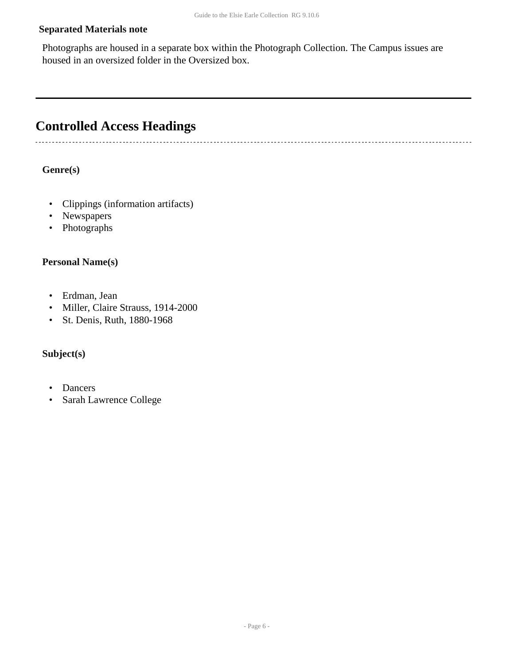#### **Separated Materials note**

Photographs are housed in a separate box within the Photograph Collection. The Campus issues are housed in an oversized folder in the Oversized box.

### <span id="page-5-0"></span>**Controlled Access Headings**

**Genre(s)**

- Clippings (information artifacts)
- Newspapers
- Photographs

#### **Personal Name(s)**

- Erdman, Jean
- Miller, Claire Strauss, 1914-2000
- St. Denis, Ruth, 1880-1968

#### **Subject(s)**

- Dancers
- Sarah Lawrence College